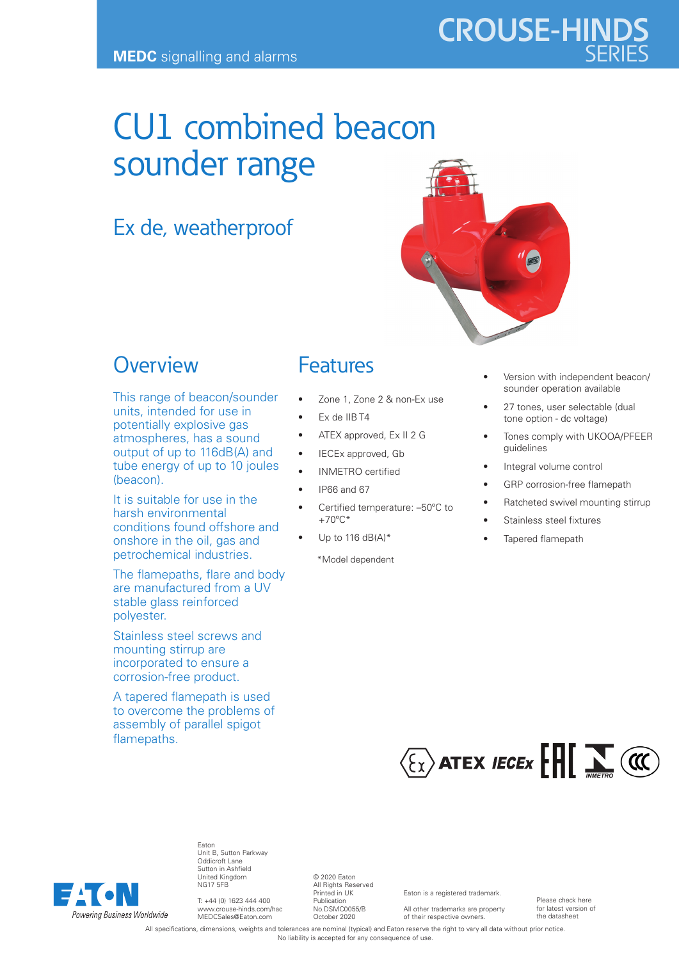# CU1 combined beacon sounder range

# Ex de, weatherproof

### **Overview**

This range of beacon/sounder units, intended for use in potentially explosive gas atmospheres, has a sound output of up to 116dB(A) and tube energy of up to 10 joules (beacon).

It is suitable for use in the harsh environmental conditions found offshore and onshore in the oil, gas and petrochemical industries.

The flamepaths, flare and body are manufactured from a UV stable glass reinforced polyester.

Stainless steel screws and mounting stirrup are incorporated to ensure a corrosion-free product.

A tapered flamepath is used to overcome the problems of assembly of parallel spigot flamepaths.

# Features

- Zone 1, Zone 2 & non-Ex use
- Ex de IIB T4
- ATEX approved, Ex II 2 G
- IECEx approved, Gb
- INMETRO certified
- IP66 and 67
- Certified temperature: –50ºC to +70ºC\*
	- Up to 116  $dB(A)^*$

\*Model dependent

- Version with independent beacon/ sounder operation available
- 27 tones, user selectable (dual tone option - dc voltage)
- Tones comply with UKOOA/PFEER guidelines
- Integral volume control
- GRP corrosion-free flamepath
- Ratcheted swivel mounting stirrup
- Stainless steel fixtures
- Tapered flamepath





Eaton Unit B, Sutton Parkway Oddicroft Lane Sutton in Ashfield United Kingdom NG17 5FB

T: +44 (0) 1623 444 400 www.crouse-hinds.com/hac MEDCSales@Eaton.com

© 2020 Eaton All Rights Reserved Printed in UK Publication No.DSMC0055/B October 2020

Eaton is a registered trademark.

All other trademarks are property of their respective owners.

Please check here for latest version of the datasheet

All specifications, dimensions, weights and tolerances are nominal (typical) and Eaton reserve the right to vary all data without prior notice. No liability is accepted for any consequence of use.

**CROUSE-HINDS**